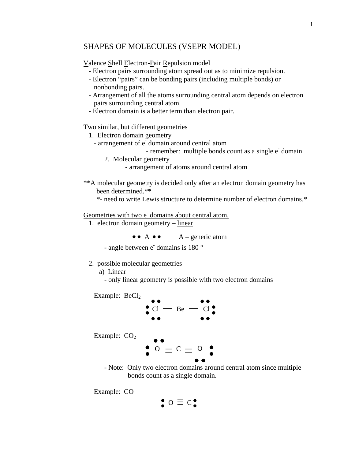### SHAPES OF MOLECULES (VSEPR MODEL)

Valence Shell Electron-Pair Repulsion model

- Electron pairs surrounding atom spread out as to minimize repulsion.
- Electron "pairs" can be bonding pairs (including multiple bonds) or nonbonding pairs.
- Arrangement of all the atoms surrounding central atom depends on electron pairs surrounding central atom.
- Electron domain is a better term than electron pair.

Two similar, but different geometries

- 1. Electron domain geometry
- arrangement of e<sup>-</sup>domain around central atom
- remember: multiple bonds count as a single e domain
	- 2. Molecular geometry

- arrangement of atoms around central atom

- \*\*A molecular geometry is decided only after an electron domain geometry has been determined.\*\*
	- \*- need to write Lewis structure to determine number of electron domains.\*

Geometries with two e<sup>-</sup> domains about central atom.

1. electron domain geometry – linear

 $\bullet \bullet A \bullet \bullet A$  – generic atom

- angle between e<sup>-</sup> domains is 180 °

2. possible molecular geometries

a) Linear

- only linear geometry is possible with two electron domains

Example:  $BeCl<sub>2</sub>$ 



Example:  $CO<sub>2</sub>$ 

 $\bullet$   $\circ$   $\bullet$   $\circ$   $\bullet$   $\bullet$ 

 - Note: Only two electron domains around central atom since multiple bonds count as a single domain.

Example: CO

$$
\underset{\bullet}{\bullet} \circ \equiv c \, \underset{\bullet}{\bullet}
$$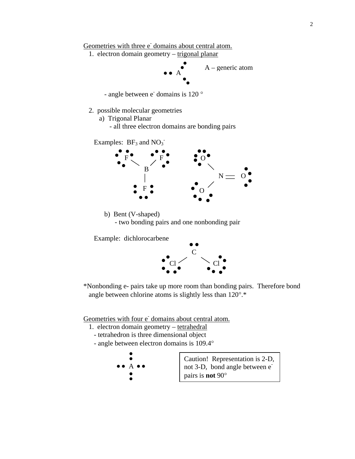Geometries with three e<sup>-</sup> domains about central atom.

1. electron domain geometry – trigonal planar



- angle between  $e^-$  domains is 120  $\degree$ 

- 2. possible molecular geometries
	- a) Trigonal Planar
		- all three electron domains are bonding pairs

Examples:  $BF_3$  and  $NO_3^-$ 



 b) Bent (V-shaped) - two bonding pairs and one nonbonding pair

Example: dichlorocarbene



\*Nonbonding e- pairs take up more room than bonding pairs. Therefore bond angle between chlorine atoms is slightly less than 120°.\*

Geometries with four e<sup>-</sup> domains about central atom.

- 1. electron domain geometry tetrahedral
	- tetrahedron is three dimensional object
	- angle between electron domains is 109.4°

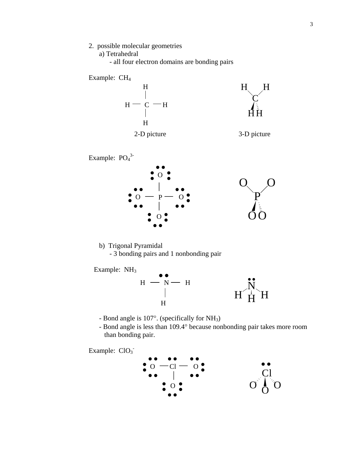2. possible molecular geometries

a) Tetrahedral

- all four electron domains are bonding pairs

Example: CH4







 b) Trigonal Pyramidal - 3 bonding pairs and 1 nonbonding pair





- Bond angle is 107°. (specifically for NH3)
- Bond angle is less than 109.4° because nonbonding pair takes more room than bonding pair.

Example: ClO<sub>3</sub>

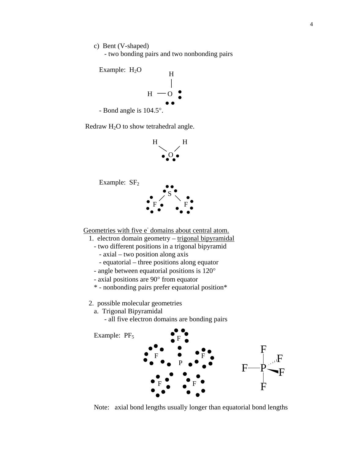c) Bent (V-shaped)

- two bonding pairs and two nonbonding pairs



Redraw  $H_2O$  to show tetrahedral angle.



Example: SF<sub>2</sub>



Geometries with five e<sup>-</sup> domains about central atom.

- 1. electron domain geometry trigonal bipyramidal
	- two different positions in a trigonal bipyramid
		- axial two position along axis
		- equatorial three positions along equator
	- angle between equatorial positions is 120°
	- axial positions are 90° from equator
	- \* nonbonding pairs prefer equatorial position\*
- 2. possible molecular geometries
	- a. Trigonal Bipyramidal
		- all five electron domains are bonding pairs



Note: axial bond lengths usually longer than equatorial bond lengths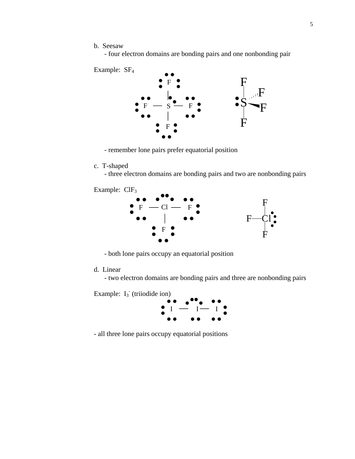b. Seesaw

- four electron domains are bonding pairs and one nonbonding pair



- remember lone pairs prefer equatorial position

- c. T-shaped
	- three electron domains are bonding pairs and two are nonbonding pairs

Example: ClF3



- both lone pairs occupy an equatorial position

d. Linear

- two electron domains are bonding pairs and three are nonbonding pairs

Example:  $I_3$ <sup> $\cdot$ </sup> (triiodide ion)



- all three lone pairs occupy equatorial positions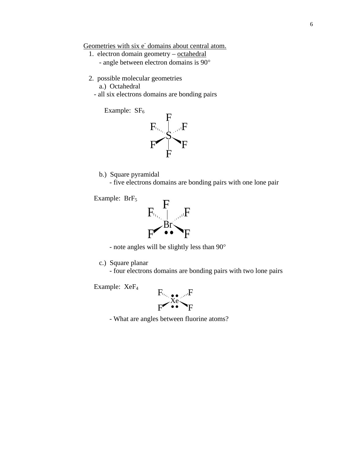Geometries with six e domains about central atom.

- 1. electron domain geometry octahedral - angle between electron domains is 90°
- 2. possible molecular geometries
	- a.) Octahedral
	- all six electrons domains are bonding pairs



b.) Square pyramidal

- five electrons domains are bonding pairs with one lone pair

Example: BrF<sub>5</sub>



- note angles will be slightly less than 90°

c.) Square planar

- four electrons domains are bonding pairs with two lone pairs

Example: XeF4



- What are angles between fluorine atoms?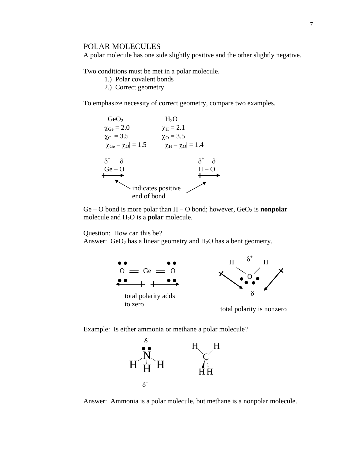### POLAR MOLECULES

A polar molecule has one side slightly positive and the other slightly negative.

Two conditions must be met in a polar molecule.

- 1.) Polar covalent bonds
- 2.) Correct geometry

To emphasize necessity of correct geometry, compare two examples.



Ge – O bond is more polar than  $H - O$  bond; however,  $GeO<sub>2</sub>$  is **nonpolar** molecule and H2O is a **polar** molecule.

Question: How can this be?

Answer:  $GeO<sub>2</sub>$  has a linear geometry and  $H<sub>2</sub>O$  has a bent geometry.



Example: Is either ammonia or methane a polar molecule?



Answer: Ammonia is a polar molecule, but methane is a nonpolar molecule.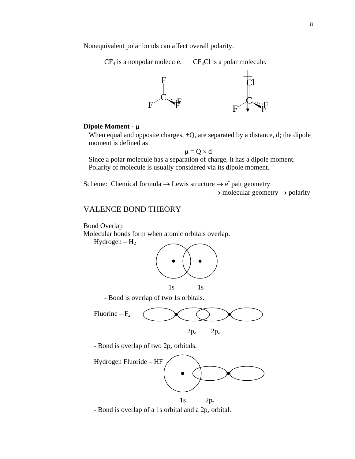Nonequivalent polar bonds can affect overall polarity.

 $CF_4$  is a nonpolar molecule.  $CF_3Cl$  is a polar molecule.



### **Dipole Moment -** μ

When equal and opposite charges,  $\pm Q$ , are separated by a distance, d; the dipole moment is defined as

 $\mu = Q \times d$ 

 Since a polar molecule has a separation of charge, it has a dipole moment. Polarity of molecule is usually considered via its dipole moment.

Scheme: Chemical formula  $\rightarrow$  Lewis structure  $\rightarrow$  e<sup>-</sup> pair geometry  $\rightarrow$  molecular geometry  $\rightarrow$  polarity

# VALENCE BOND THEORY

**Bond Overlap** 

Molecular bonds form when atomic orbitals overlap.

 $Hydrogen - H<sub>2</sub>$ 



- Bond is overlap of two 1s orbitals.



- Bond is overlap of two 2p<sub>z</sub> orbitals.



- Bond is overlap of a 1s orbital and a  $2p_z$  orbital.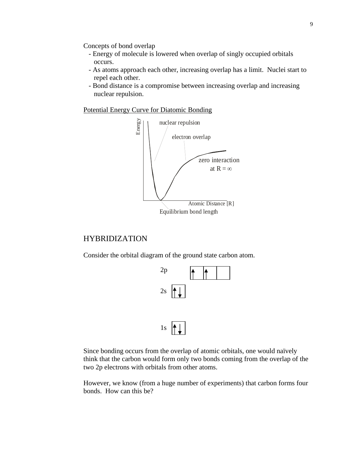Concepts of bond overlap

- Energy of molecule is lowered when overlap of singly occupied orbitals occurs.
- As atoms approach each other, increasing overlap has a limit. Nuclei start to repel each other.
- Bond distance is a compromise between increasing overlap and increasing nuclear repulsion.

Potential Energy Curve for Diatomic Bonding



## HYBRIDIZATION

Consider the orbital diagram of the ground state carbon atom.



Since bonding occurs from the overlap of atomic orbitals, one would naïvely think that the carbon would form only two bonds coming from the overlap of the two 2p electrons with orbitals from other atoms.

However, we know (from a huge number of experiments) that carbon forms four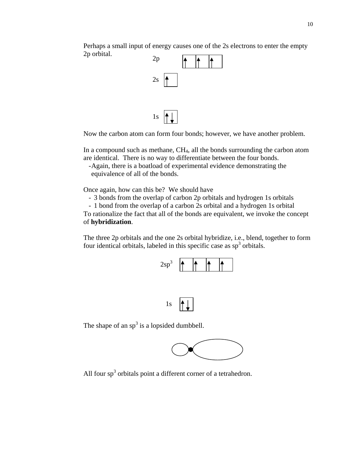Perhaps a small input of energy causes one of the 2s electrons to enter the empty 2p orbital.



Now the carbon atom can form four bonds; however, we have another problem.

In a compound such as methane,  $CH<sub>4</sub>$ , all the bonds surrounding the carbon atom are identical. There is no way to differentiate between the four bonds.

- Again, there is a boatload of experimental evidence demonstrating the equivalence of all of the bonds.

Once again, how can this be? We should have

- 3 bonds from the overlap of carbon 2p orbitals and hydrogen 1s orbitals

- 1 bond from the overlap of a carbon 2s orbital and a hydrogen 1s orbital To rationalize the fact that all of the bonds are equivalent, we invoke the concept of **hybridization**.

The three 2p orbitals and the one 2s orbital hybridize, i.e., blend, together to form four identical orbitals, labeled in this specific case as  $sp<sup>3</sup>$  orbitals.





The shape of an  $sp<sup>3</sup>$  is a lopsided dumbbell.



All four  $sp<sup>3</sup>$  orbitals point a different corner of a tetrahedron.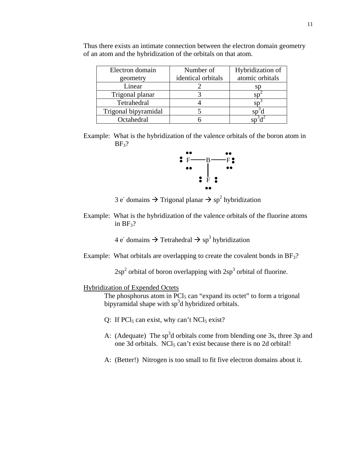| Electron domain      | Number of          | Hybridization of |
|----------------------|--------------------|------------------|
| geometry             | identical orbitals | atomic orbitals  |
| Linear               |                    | SI               |
| Trigonal planar      |                    |                  |
| Tetrahedral          |                    |                  |
| Trigonal bipyramidal |                    |                  |
| Octahedral           |                    |                  |

Thus there exists an intimate connection between the electron domain geometry of an atom and the hybridization of the orbitals on that atom.

Example: What is the hybridization of the valence orbitals of the boron atom in  $BF<sub>3</sub>$ ?



 $3 \text{ e}$  domains  $\rightarrow$  Trigonal planar  $\rightarrow$  sp<sup>2</sup> hybridization

Example: What is the hybridization of the valence orbitals of the fluorine atoms in  $BF_3$ ?

 $4 \text{ e}$  domains  $\rightarrow$  Tetrahedral  $\rightarrow$  sp<sup>3</sup> hybridization

Example: What orbitals are overlapping to create the covalent bonds in  $BF<sub>3</sub>$ ?

 $2sp<sup>2</sup>$  orbital of boron overlapping with  $2sp<sup>3</sup>$  orbital of fluorine.

### Hybridization of Expended Octets

The phosphorus atom in  $\text{PCl}_5$  can "expand its octet" to form a trigonal bipyramidal shape with  $sp^3d$  hybridized orbitals.

- Q: If  $\text{PCl}_5$  can exist, why can't  $\text{NCl}_5$  exist?
- A: (Adequate) The  $sp^3d$  orbitals come from blending one 3s, three 3p and one 3d orbitals.  $NCl<sub>5</sub>$  can't exist because there is no 2d orbital!
- A: (Better!) Nitrogen is too small to fit five electron domains about it.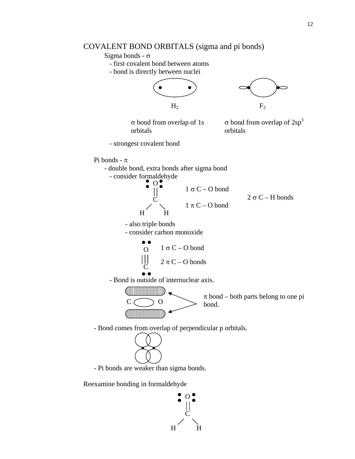## COVALENT BOND ORBITALS (sigma and pi bonds)

## Sigma bonds - σ

- first covalent bond between atoms
- bond is directly between nuclei





σ bond from overlap of 1s orbitals

 $\sigma$  bond from overlap of 2sp<sup>3</sup> orbitals

- strongest covalent bond

#### Pi bonds -  $\pi$



 $1 \sigma C - O$  bond  $1 \pi C - O$  bond  $2 \sigma C - H$  bonds

- also triple bonds

H

 $\mathsf{C}\phantom{0}$ 

- consider carbon monoxide

H



- Bond is outside of internuclear axis.



 $\pi$  bond – both parts belong to one pi bond.

- Bond comes from overlap of perpendicular p orbitals.



- Pi bonds are weaker than sigma bonds.

Reexamine bonding in formaldehyde

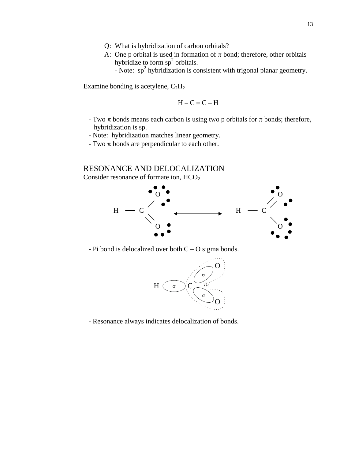- Q: What is hybridization of carbon orbitals?
- A: One p orbital is used in formation of  $\pi$  bond; therefore, other orbitals hybridize to form  $sp<sup>2</sup>$  orbitals.

- Note:  $sp<sup>2</sup>$  hybridization is consistent with trigonal planar geometry.

Examine bonding is acetylene,  $C_2H_2$ 

$$
H - C \equiv C - H
$$

- Two  $\pi$  bonds means each carbon is using two p orbitals for  $\pi$  bonds; therefore, hybridization is sp.
- Note: hybridization matches linear geometry.
- Two  $\pi$  bonds are perpendicular to each other.

### RESONANCE AND DELOCALIZATION

Consider resonance of formate ion,  $HCO_2^-$ 



- Pi bond is delocalized over both  $C - O$  sigma bonds.



- Resonance always indicates delocalization of bonds.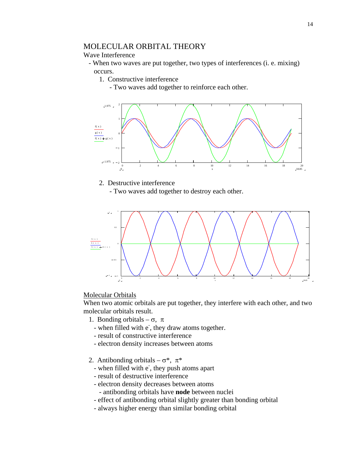## MOLECULAR ORBITAL THEORY

### Wave Interference

- When two waves are put together, two types of interferences (i. e. mixing) occurs.
	- 1. Constructive interference
		- Two waves add together to reinforce each other.



### 2. Destructive interference

- Two waves add together to destroy each other.



#### Molecular Orbitals

When two atomic orbitals are put together, they interfere with each other, and two molecular orbitals result.

- 1. Bonding orbitals  $\sigma$ ,  $\pi$
- when filled with e<sup>-</sup>, they draw atoms together.
	- result of constructive interference
	- electron density increases between atoms
	- 2. Antibonding orbitals  $\sigma^*$ ,  $\pi^*$
- when filled with e, they push atoms apart
	- result of destructive interference
	- electron density decreases between atoms
		- antibonding orbitals have **node** between nuclei
	- effect of antibonding orbital slightly greater than bonding orbital
	- always higher energy than similar bonding orbital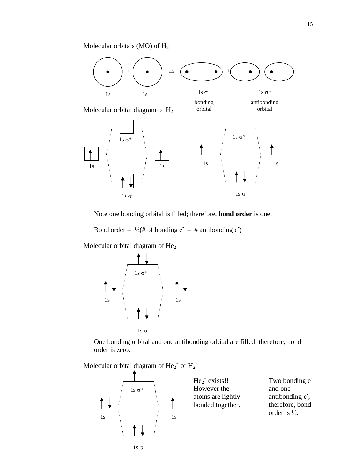Molecular orbitals (MO) of H2



Note one bonding orbital is filled; therefore, **bond order** is one.

Bond order =  $\frac{1}{2}$ (# of bonding e<sup>-</sup> – # antibonding e<sup>-</sup>)

Molecular orbital diagram of He<sub>2</sub>



 One bonding orbital and one antibonding orbital are filled; therefore, bond order is zero.

Molecular orbital diagram of  $\text{He}_{2}^+$  or  $\text{H}_{2}^-$ 



 $He<sub>2</sub><sup>+</sup> exists!!$ However the atoms are lightly bonded together.

Two bonding  $e^$ and one antibonding e; therefore, bond order is ½.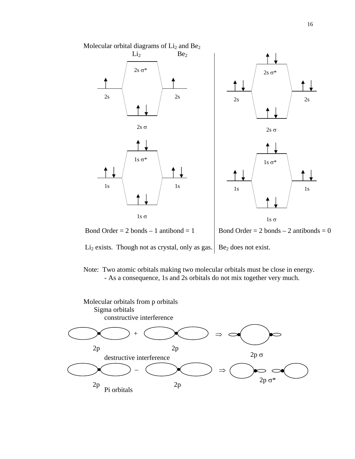





Li<sub>2</sub> exists. Though not as crystal, only as gas. Be<sub>2</sub> does not exist.

Note: Two atomic orbitals making two molecular orbitals must be close in energy. - As a consequence, 1s and 2s orbitals do not mix together very much.

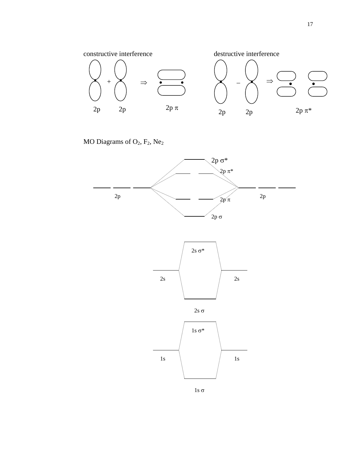

MO Diagrams of  $O_2$ ,  $F_2$ ,  $Ne_2$ 









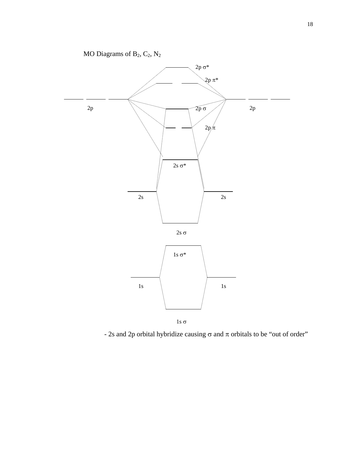

- 2s and 2p orbital hybridize causing  $\sigma$  and  $\pi$  orbitals to be "out of order"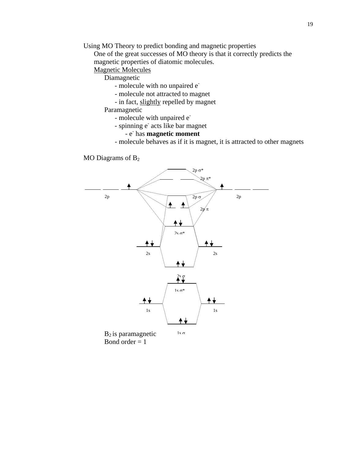Using MO Theory to predict bonding and magnetic properties

 One of the great successes of MO theory is that it correctly predicts the magnetic properties of diatomic molecules.

## Magnetic Molecules

Diamagnetic

- molecule with no unpaired e<sup>-</sup>
- molecule not attracted to magnet
- in fact, slightly repelled by magnet

## Paramagnetic

- molecule with unpaired e<sup>-</sup>
- spinning e<sup>-</sup> acts like bar magnet

# - e- has **magnetic moment**

- molecule behaves as if it is magnet, it is attracted to other magnets

MO Diagrams of  $B_2$ 



 $B_2$  is paramagnetic Bond order  $= 1$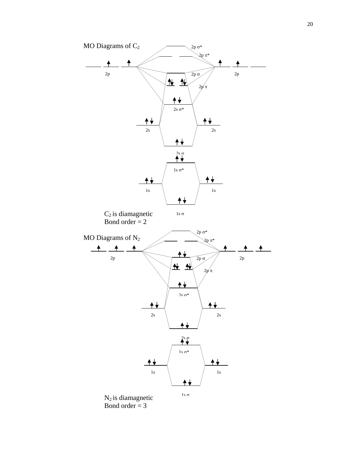

Bond order  $= 3$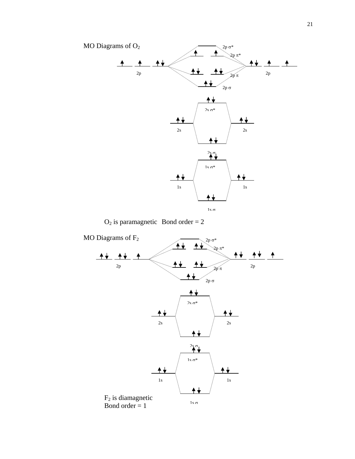